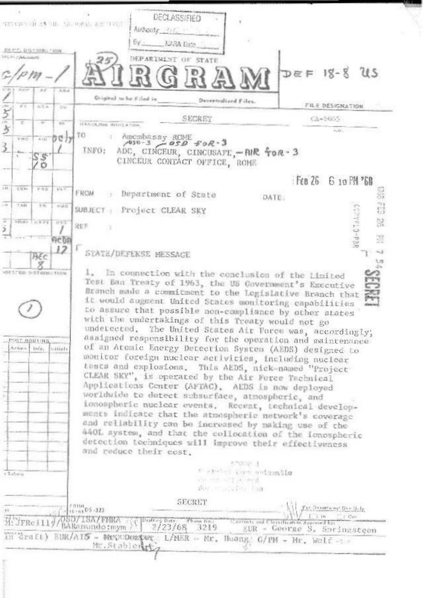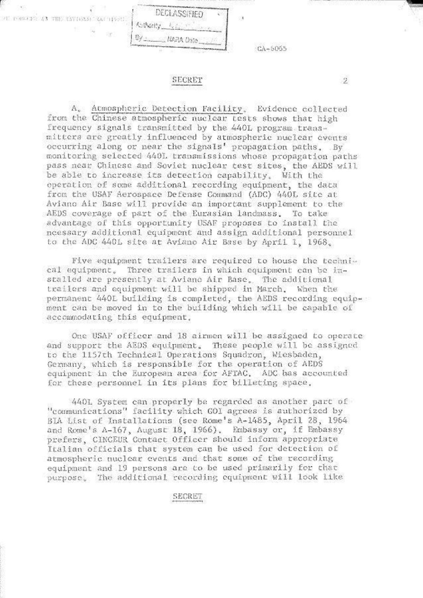

## SECRET

 $\mathbf{2}$ 

A, Atmospheric Detection Facility, Evidence collected from the Chinese atmospheric nuclear tests shows that high frequency signals transmitted by the 440L program transmitters are greatly influenced by atmospheric nuclear events occurring along or near the signals' propagation paths. By monitoring selected 440L transmissions whose propagation paths pass near Chinese and Soviet nuclear test sites, the AEDS will be able to increase its detection capability. With the operation of some additional recording equipment, the data from the USAF Aerospace Defense Command (ADC) 440L site at Aviano Air Base will provide an important supplement to the AEDS coverage of part of the Eurasian landmass. To take advantage of this opportunity USAF proposes to install the ncessary additional equipment and assign additional personnel to the ADC 440L site at Aviano Air Base by April 1, 1968.

Five equipment trailers are required to house the technical equipment. Three trailers in which equipment can be installed are presently at Aviano Air Base. The additional trailers and equipment will be shipped in March. When the permanent 440L building is completed, the AEDS recording equipment can be moved in to the building which will be capable of accommodating this equipment.

One USAF officer and 18 airmen will be assigned to operate and support the AEDS equipment. These people will be assigned to the 1157th Technical Operations Squadron, Wiesbaden, Germany, which is responsible for the operation of AEDS equipment in the European area for AFTAC. ADC has accounted for these personnel in its plans for billeting space.

440L System can properly be regarded as another part of "communications" facility which GOI agrees is authorized by BIA List of Installations (see Rome's A-1485, April 28, 1964) and Rome's A-167, August 18, 1966). Embassy or, if Embassy prefers, CINCEUR Contact Officer should inform appropriate Italian officials that system can be used for detection of atmospheric nuclear events and that some of the recording equipment and 19 persons are to be used primarily for that purpose. The additional recording equipment will look like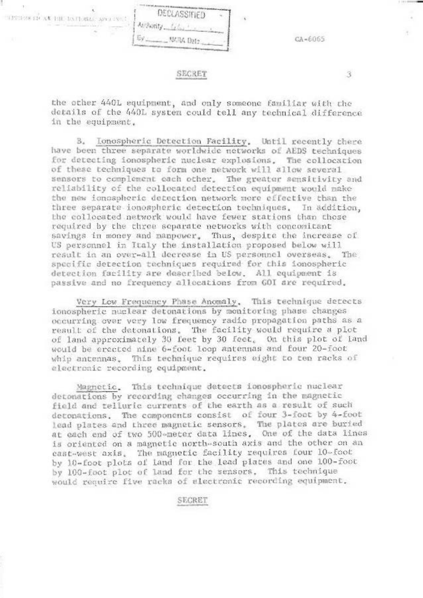

## SECRET

the other 440L equipment, and only someone familiar with the details of the 440L system could tell any technical difference in the equipment.

3.

B. Ionospheric Detection Facility. Until recently there have been three separate worldwide networks of AEDS techniques for detecting ionospheric nuclear explosions. The collocation of these techniques to form one network will allow several sensors to complement each other. The greater sensitivity and reliability of the collocated detection equipment would make the new ionospheric detection network more effective than the three separate ionospheric detection techniques. In addition, the collocated network would have fewer stations than those required by the three separate networks with concomitant savings in money and manpower. Thus, despite the increase of US personnel in Italy the installation proposed below will result in an over-all decrease in US personnel overseas. The specific detection techniques required for this ionospheric detection facility are described below. All equipment is passive and no frequency allocations from GOI are required.

Very Low Frequency Phase Anomaly. This technique detects ionospheric nuclear detonations by monitoring phase changes occurring over very low frequency radio propagation paths as a result of the detonations. The facility would require a plot of land approximately 30 feet by 30 feet. On this plot of land would be erected nine 6-foot loop antennas and four 20-foot whip antennas. This technique requires eight to ten racks of electronic recording equipment.

Magnetic. This technique detects ionospheric nuclear detonations by recording changes occurring in the magnetic field and telluric currents of the earth as a result of such detonations. The components consist of four 3-foot by 4-foot lead plates and three magnetic sensors. The plates are buried at each end of two 500-meter data lines. One of the data lines is oriented on a magnetic north-south axis and the other on an cast-west axis. The magnetic facility requires four 10-foot by 10-foot plots of land for the lead plates and one 100-foot by 100-foot plot of land for the sensors. This technique would require five racks of electronic recording equipment.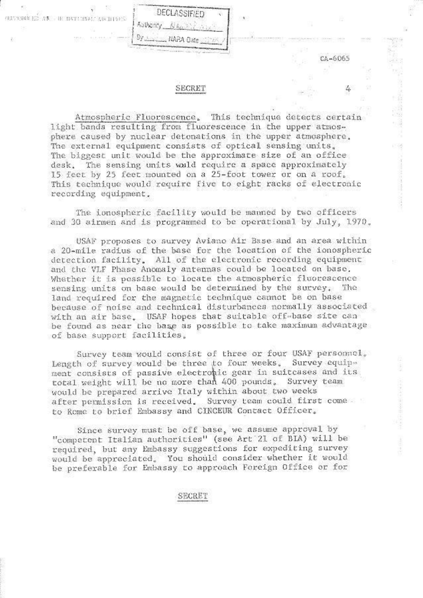

DECLASSIFIED

Authority.

CENTERN ED AN IN DATA STAL ARCHIVES

Atmospheric Fluorescence, This technique detects certain light bands resulting from fluorescence in the upper atmosphere caused by nuclear detonations in the upper atmosphere. The external equipment consists of optical sensing units. The biggest unit would be the approximate size of an office The sensing units would require a space approximately desk. 15 feet by 25 feet mounted on a 25-foot tower or on a roof. This technique would require five to eight racks of electronic recording equipment.

CA-6065

The ionospheric facility would be manned by two officers and 30 airmen and is programmed to be operational by July, 1970.

USAF proposes to survey Aviano Air Base and an area within a 20-mile radius of the base for the location of the ionospheric detection facility. All of the electronic recording equipment and the VLF Phase Anomaly antennas could be located on base. Whether it is possible to locate the atmospheric fluorescence sensing units on base would be determined by the survey. The land required for the magnetic technique cannot be on base because of noise and technical disturbances normally associated with an air base. USAF hopes that suitable off-base site can be found as near the base as possible to take maximum advantage of base support facilities.

Survey team would consist of three or four USAF personnel. Survey equip-Length of survey would be three to four weeks. ment consists of passive electronic gear in suitcases and its total weight will be no more than 400 pounds. Survey team would be prepared arrive Italy within about two weeks after permission is received. Survey team could first come to Rome to brief Embassy and CINCEUR Contact Officer.

Since survey must be off base, we assume approval by "competent Italian authorities" (see Art 21 of BIA) will be required, but any Embassy suggestions for expediting survey would be appreciated. You should consider whether it would be preferable for Embassy to approach Foreign Office or for